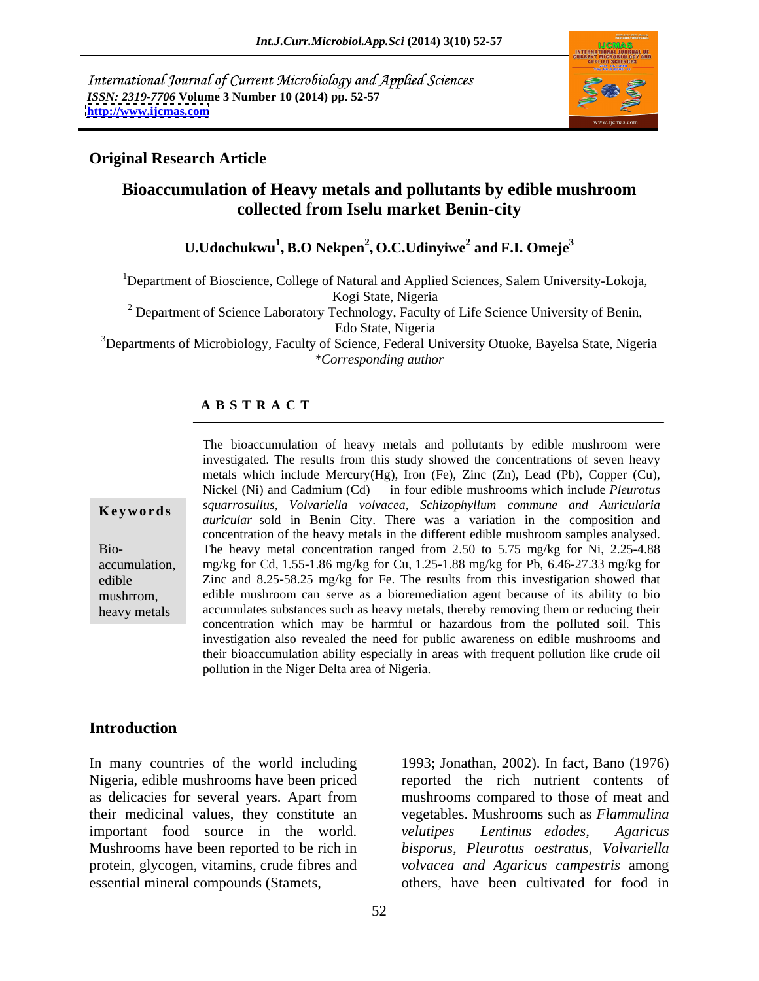International Journal of Current Microbiology and Applied Sciences *ISSN: 2319-7706* **Volume 3 Number 10 (2014) pp. 52-57 <http://www.ijcmas.com>**



## **Original Research Article**

# **Bioaccumulation of Heavy metals and pollutants by edible mushroom collected from Iselu market Benin-city**

#### $\mathbf{U}.\mathbf{U}$ dochukwu $^1,\mathbf{B}.\mathbf{O}$  Nekpen $^2,\mathbf{O}.\mathbf{C}.\mathbf{U}$ dinyiwe $^2$  and F.I. Omeje $^3$  **and F.I. Omeje3**

<sup>1</sup>Department of Bioscience, College of Natural and Applied Sciences, Salem University-Lokoja, Kogi State, Nigeria

<sup>2</sup> Department of Science Laboratory Technology, Faculty of Life Science University of Benin, Edo State, Nigeria

<sup>3</sup>Departments of Microbiology, Faculty of Science, Federal University Otuoke, Bayelsa State, Nigeria *\*Corresponding author*

### **A B S T R A C T**

| Keywords |  |  |
|----------|--|--|
|          |  |  |

**Ke ywo rds** *squarrosullus, Volvariella volvacea, Schizophyllum commune and Auricularia* Bio- The heavy metal concentration ranged from 2.50 to 5.75 mg/kg for Ni, 2.25-4.88 accumulation, mg/kg for Cd, 1.55-1.86 mg/kg for Cu, 1.25-1.88 mg/kg for Pb, 6.46-27.33 mg/kg for edible **Example 22** Zinc and 8.25-58.25 mg/kg for Fe. The results from this investigation showed that mushrrom, edible mushroom can serve as a bioremediation agent because of its ability to bio heavy metals accumulates substances such as heavy metals, thereby removing them or reducing their The bioaccumulation of heavy metals and pollutants by edible mushroom were investigated. The results from this study showed the concentrations of seven heavy metals which include Mercury(Hg), Iron (Fe), Zinc (Zn), Lead (Pb), Copper (Cu), Nickel (Ni) and Cadmium (Cd) in four edible mushrooms which include *Pleurotus auricular* sold in Benin City. There was a variation in the composition and concentration of the heavy metals in the different edible mushroom samples analysed. concentration which may be harmful or hazardous from the polluted soil. This investigation also revealed the need for public awareness on edible mushrooms and their bioaccumulation ability especially in areas with frequent pollution like crude oil pollution in the Niger Delta area of Nigeria.

#### **Introduction**

important food source in the world. velutipes Lentinus edodes, Agaricus

In many countries of the world including 1993; Jonathan, 2002). In fact, Bano (1976) Nigeria, edible mushrooms have been priced reported the rich nutrient contents of as delicacies for several years. Apart from mushrooms compared to those of meat and their medicinal values, they constitute an vegetables. Mushrooms such as *Flammulina*  Mushrooms have been reported to be rich in *bisporus, Pleurotus oestratus, Volvariella* protein, glycogen, vitamins, crude fibres and *volvacea and Agaricus campestris* among essential mineral compounds (Stamets, others, have been cultivated for food in *velutipes Lentinus edodes, Agaricus*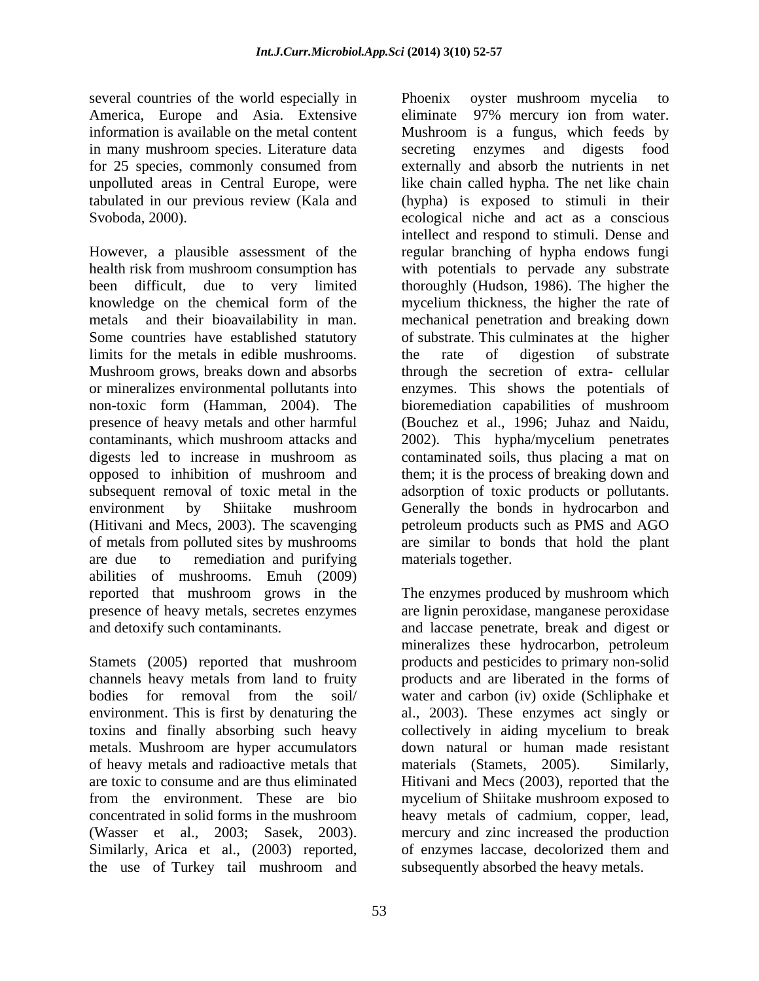several countries of the world especially in Phoenix over mushroom mycelia to for 25 species, commonly consumed from

limits for the metals in edible mushrooms. The rate of digestion of substrate presence of heavy metals and other harmful opposed to inhibition of mushroom and (Hitivani and Mecs, 2003). The scavenging are due to remediation and purifying materials together. abilities of mushrooms. Emuh (2009) reported that mushroom grows in the The enzymes produced by mushroom which presence of heavy metals, secretes enzymes are lignin peroxidase, manganese peroxidase

Stamets (2005) reported that mushroom products and pesticides to primary non-solid channels heavy metals from land to fruity products and are liberated in the forms of bodies for removal from the soil/ water and carbon (iv) oxide (Schliphake et environment. This is first by denaturing the al., 2003). These enzymes act singly or toxins and finally absorbing such heavy metals. Mushroom are hyper accumulators of heavy metals and radioactive metals that materials (Stamets, 2005). Similarly, are toxic to consume and are thus eliminated Hitivani and Mecs (2003), reported that the from the environment. These are bio mycelium of Shiitake mushroom exposed to concentrated in solid forms in the mushroom heavy metals of cadmium, copper, lead, (Wasser et al., 2003; Sasek, 2003). Similarly, Arica et al., (2003) reported, the use of Turkey tail mushroom and subsequently absorbed the heavy metals.

America, Europe and Asia. Extensive eliminate 97% mercury ion from water. information is available on the metal content Mushroom is a fungus, which feeds by in many mushroom species. Literature data secreting enzymes and digests food unpolluted areas in Central Europe, were like chain called hypha. The net like chain tabulated in our previous review (Kala and (hypha) is exposed to stimuli in their Svoboda, 2000). ecological niche and act as a conscious However, a plausible assessment of the regular branching of hypha endows fungi health risk from mushroom consumption has with potentials to pervade any substrate been difficult, due to very limited thoroughly (Hudson, 1986). The higher the knowledge on the chemical form of the mycelium thickness, the higher the rate of metals and their bioavailability in man. mechanical penetration and breaking down Some countries have established statutory of substrate. This culminates at the higher Mushroom grows, breaks down and absorbs through the secretion of extra- cellular or mineralizes environmental pollutants into enzymes. This shows the potentials of non-toxic form (Hamman, 2004). The bioremediation capabilities of mushroom contaminants, which mushroom attacks and 2002). This hypha/mycelium penetrates digests led to increase in mushroom as contaminated soils, thus placing a mat on subsequent removal of toxic metal in the adsorption of toxic products or pollutants. environment by Shiitake mushroom Generally the bonds in hydrocarbon and of metals from polluted sites by mushrooms are similar to bonds that hold the plant Phoenix oyster mushroom mycelia to externally and absorb the nutrients in net intellect and respond to stimuli. Dense and the rate of digestion of substrate (Bouchez et al., 1996; Juhaz and Naidu, them; it is the process of breaking down and petroleum products such as PMS and AGO materials together.

and detoxify such contaminants. and laccase penetrate, break and digest or mineralizes these hydrocarbon, petroleum collectively in aiding mycelium to break down natural or human made resistant materials (Stamets, 2005). mercury and zinc increased the production of enzymes laccase, decolorized them and subsequently absorbed the heavy metals.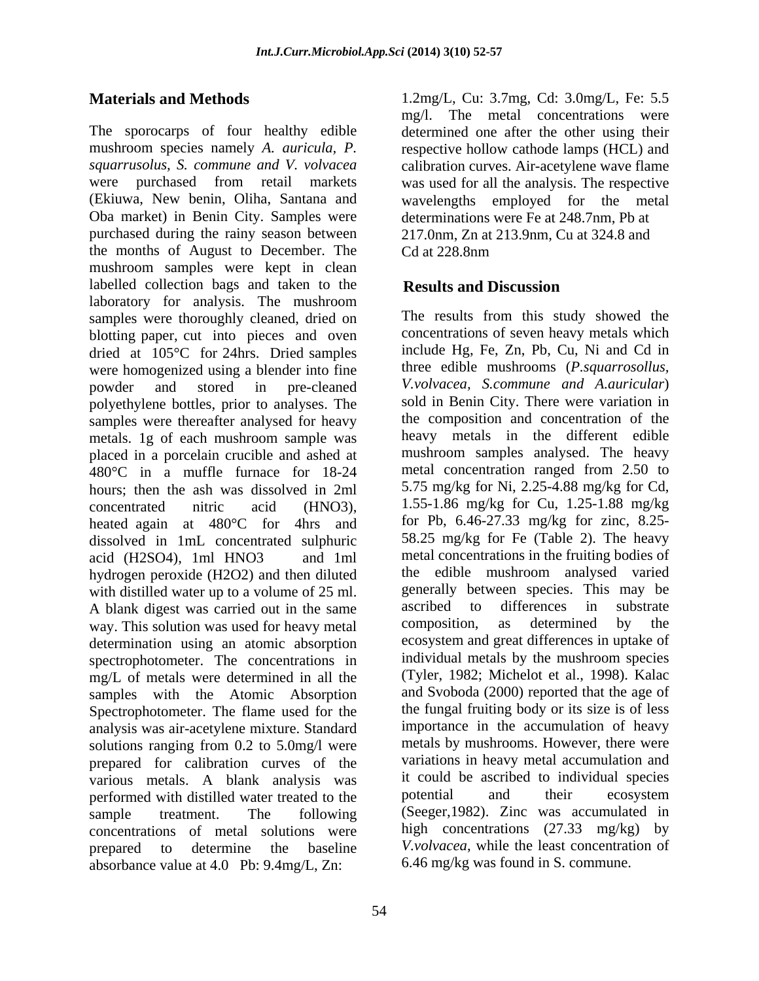The sporocarps of four healthy edible determined one after the other using their mushroom species namely *A. auricula, P.* respective hollow cathode lamps (HCL) and *squarrusolus, S. commune and V. volvacea* calibration curves. Air-acetylene wave flame were purchased from retail markets was used for all the analysis. The respective (Ekiuwa, New benin, Oliha, Santana and wavelengths employed for the metal Oba market) in Benin City. Samples were purchased during the rainy season between the months of August to December. The Cd at 228.8nm mushroom samples were kept in clean labelled collection bags and taken to the **Results and Discussion** laboratory for analysis. The mushroom samples were thoroughly cleaned, dried on blotting paper, cut into pieces and oven dried at 105°C for 24hrs. Dried samples were homogenized using a blender into fine polyethylene bottles, prior to analyses. The samples were thereafter analysed for heavy metals. 1g of each mushroom sample was placed in a porcelain crucible and ashed at 480°C in a muffle furnace for 18-24 hours; then the ash was dissolved in 2ml heated again at 480°C for 4hrs and dissolved in 1mL concentrated sulphuric hydrogen peroxide (H2O2) and then diluted with distilled water up to a volume of 25 ml. generally between species. This may be<br>A blank digest was carried out in the same ascribed to differences in substrate A blank digest was carried out in the same ascribed to differences in substrate<br>way This solution was used for heavy metal composition, as determined by the way. This solution was used for heavy metal determination using an atomic absorption spectrophotometer. The concentrations in mg/L of metals were determined in all the samples with the Atomic Absorption Spectrophotometer. The flame used for the analysis was air-acetylene mixture. Standard solutions ranging from 0.2 to 5.0mg/l were prepared for calibration curves of the various metals. A blank analysis was it could be ascribed to individual species<br>nerformed with distilled water treated to the potential and their ecosystem performed with distilled water treated to the concentrations of metal solutions were absorbance value at 4.0 Pb: 9.4mg/L, Zn:

**Materials and Methods** 1.2mg/L, Cu: 3.7mg, Cd: 3.0mg/L, Fe: 5.5 mg/l. The metal concentrations were determinations were Fe at 248.7nm, Pb at 217.0nm, Zn at 213.9nm, Cu at 324.8 and Cd at 228.8nm

# **Results and Discussion**

powder and stored in pre-cleaned *V.volvacea, S.commune and A.auricular*) concentrated nitric acid (HNO3), 1.55-1.86 mg/kg for Cu, 1.25-1.88 mg/kg acid (H2SO4), 1ml HNO3 and 1ml metal concentrations in the fruiting bodies of sample treatment. The following (Seeger,1982). Zinc was accumulated in prepared to determine the baseline *V.volvacea*, while the least concentration of The results from this study showed the concentrations of seven heavy metals which include Hg, Fe, Zn, Pb, Cu, Ni and Cd in three edible mushrooms (*P.squarrosollus,*  sold in Benin City. There were variation in the composition and concentration of the heavy metals in the different edible mushroom samples analysed. The heavy metal concentration ranged from 2.50 to 5.75 mg/kg for Ni, 2.25-4.88 mg/kg for Cd, for Pb, 6.46-27.33 mg/kg for zinc, 8.25- 58.25 mg/kg for Fe (Table 2). The heavy the edible mushroom analysed varied generally between species. This may be ascribed to differences in substrate composition, as determined by the ecosystem and great differences in uptake of individual metals by the mushroom species (Tyler, 1982; Michelot et al., 1998). Kalac and Svoboda (2000) reported that the age of the fungal fruiting body or its size is of less importance in the accumulation of heavy metals by mushrooms. However, there were variations in heavy metal accumulation and it could be ascribed to individual species potential and their ecosystem high concentrations (27.33 mg/kg) by 6.46 mg/kg was found in S. commune.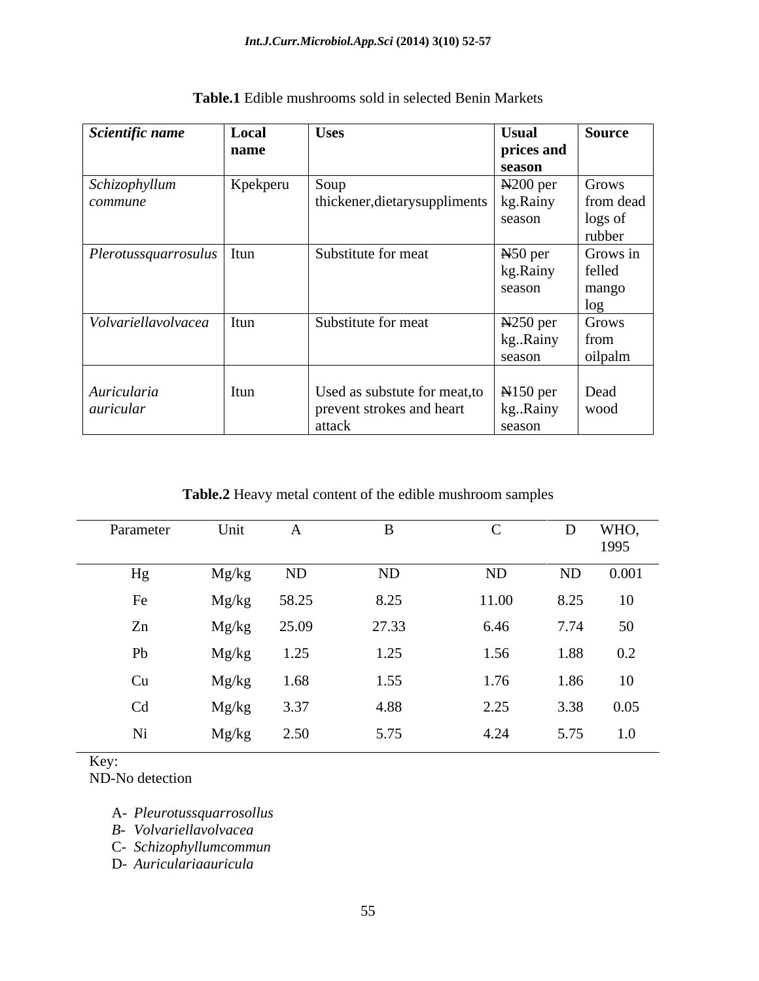| Scientific name                                  | Local        | <b>Uses</b>                                    | <b>Usual</b>        | <b>Source</b> |
|--------------------------------------------------|--------------|------------------------------------------------|---------------------|---------------|
|                                                  | name         |                                                | prices and          |               |
|                                                  |              |                                                | season              |               |
| Schizophyllum                                    | Kpekperu     | Soup                                           | $N200$ per          | Grows         |
| commune                                          |              | thickener, dietary suppliments   kg. Rainy     |                     | from dead     |
|                                                  |              |                                                | season              | logs of       |
|                                                  |              |                                                |                     | rubber        |
| $\vert$ <i>Plerotussquarrosulus</i> $\vert$ Itun |              | Substitute for meat                            | N <sub>50</sub> per | Grows in      |
|                                                  |              |                                                | kg.Rainy            | felled        |
|                                                  |              |                                                | season              | mango         |
|                                                  |              |                                                |                     | $-5$          |
| Volvariellavolvacea   Itun                       |              | Substitute for meat                            | $N250$ per          | Grows         |
|                                                  |              |                                                | kgRainy             | from          |
|                                                  |              |                                                | season              | oilpalm       |
|                                                  |              |                                                |                     |               |
| Auricularia                                      | $\vert$ Itun | Used as substute for meat, to $\vert$ N150 per |                     | Dead          |
| auricular                                        |              | prevent strokes and heart                      | kgRainy             | wood          |
|                                                  |              | attack                                         | season              |               |

**Table.1** Edible mushrooms sold in selected Benin Markets

**Table.2** Heavy metal content of the edible mushroom samples

| Parameter | Unit         |      |       |       |           | WHO,  |
|-----------|--------------|------|-------|-------|-----------|-------|
|           |              |      |       |       |           | 1995  |
| Hg        | Mg/kg        | ND   | ND    | ND    | ND        | 0.001 |
| Fe        | Mg/kg 58.25  |      | 8.25  | 11.00 | 8.25 10   |       |
| Zn        | Mg/kg 25.09  |      | 27.33 | 6.46  | 7.74 50   |       |
| Pb        | Mg/kg        | 1.25 | 1.25  | 1.56  | 1.88 0.2  |       |
| Cu        | Mg/kg        | 1.68 | 1.55  | 1.76  | 1.86 10   |       |
| Cd        | $Mg/kg$ 3.37 |      | 4.88  | 2.25  | 3.38 0.05 |       |
| Ni        | Mg/kg        | 2.50 | 5.75  | 4.24  | 5.75 1.0  |       |

Key:

ND-No detection

A- *Pleurotussquarrosollus*

*B- Volvariellavolvacea*

C- *Schizophyllumcommun*

D- *Auriculariaauricula*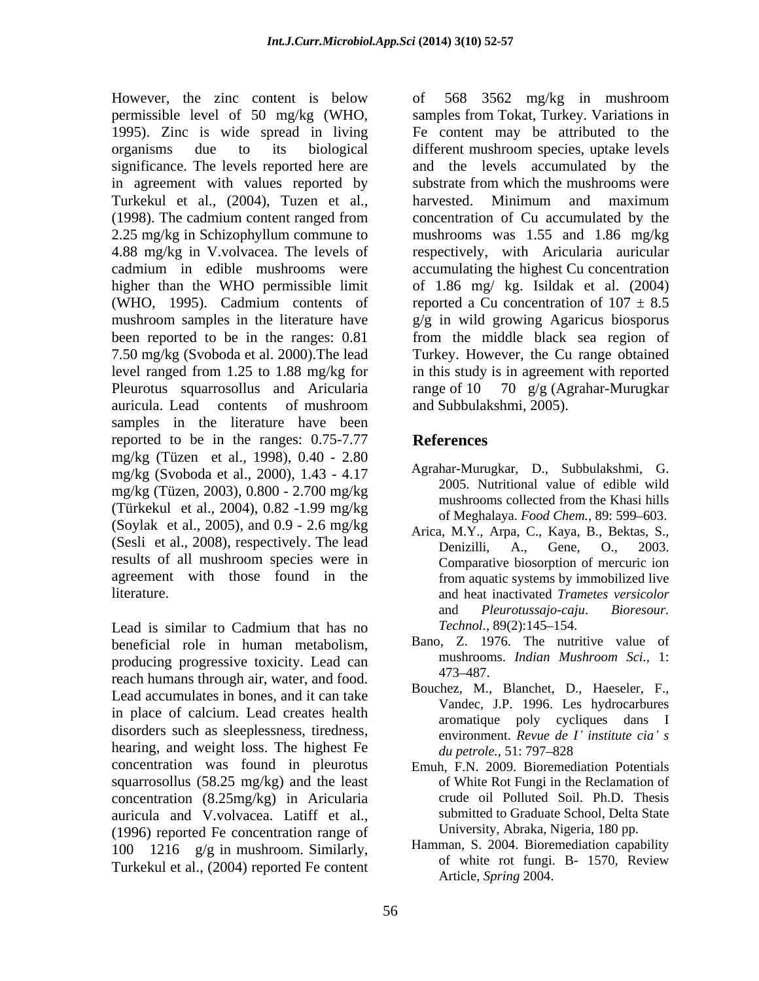However, the zinc content is below of 568 3562 mg/kg in mushroom in agreement with values reported by Turkekul et al., (2004), Tuzen et al., Pleurotus squarrosollus and Aricularia samples in the literature have been reported to be in the ranges: 0.75-7.77 References mg/kg (Tüzen et al., 1998), 0.40 - 2.80 mg/kg (Svoboda et al., 2000), 1.43 - 4.17 mg/kg (Tüzen, 2003), 0.800 - 2.700 mg/kg<br>mushrooms collected from the Khasi hills (Türkekul et al., 2004), 0.82 -1.99 mg/kg (Soylak et al., 2005), and 0.9 - 2.6 mg/kg (Sesli et al., 2008), respectively. The lead<br>Denizilli, A., Gene, O., 2003. results of all mushroom species were in agreement with those found in the literature. and heat inactivated *Trametes versicolor*

Lead is similar to Cadmium that has no Technol., 89(2):145–154. beneficial role in human metabolism, Bano, Z. 1976. The nutritive value of producing programs to the contract of the mushrooms. *Indian Mushroom Sci.* 1: producing progressive toxicity. Lead can<br>mush have a described and the desired to the 473–487. reach humans through air, water, and food. Lead accumulates in bones, and it can take in place of calcium. Lead creates health disorders such as sleeplessness, tiredness, hearing, and weight loss. The highest Fe *du petrole*., 51: 797–828 concentration was found in pleurotus squarrosollus (58.25 mg/kg) and the least concentration (8.25mg/kg) in Aricularia auricula and V.volvacea. Latiff et al., (1996) reported Fe concentration range of 100 1216 g/g in mushroom. Similarly,<br>Turkelayl at al. (2004) measured Equation of white rot fungi. B- 1570, Review Turkekul et al., (2004) reported Fe content

permissible level of 50 mg/kg (WHO, samples from Tokat, Turkey. Variations in 1995). Zinc is wide spread in living Fe content may be attributed to the organisms due to its biological different mushroom species, uptake levels significance. The levels reported here are and the levels accumulated by the (1998). The cadmium content ranged from concentration of Cu accumulated by the 2.25 mg/kg in Schizophyllum commune to mushrooms was 1.55 and 1.86 mg/kg 4.88 mg/kg in V.volvacea. The levels of respectively, with Aricularia auricular cadmium in edible mushrooms were accumulating the highest Cu concentration higher than the WHO permissible limit of 1.86 mg/ kg. Isildak et al. (2004) (WHO, 1995). Cadmium contents of reported a Cu concentration of  $107 \pm 8.5$ mushroom samples in the literature have g/g in wild growing Agaricus biosporus been reported to be in the ranges: 0.81 from the middle black sea region of 7.50 mg/kg (Svoboda et al. 2000).The lead Turkey. However, the Cu range obtained level ranged from 1.25 to 1.88 mg/kg for in this study is in agreement with reported auricula. Lead contents of mushroom of 568 3562 mg/kg in mushroom substrate from which the mushrooms were harvested. Minimum and maximum reported a Cu concentration of  $107 \pm 8.5$ 70  $g/g$  (Agrahar-Murugkar and Subbulakshmi, 2005).

# **References**

- Agrahar-Murugkar, D., Subbulakshmi, G. 2005. Nutritional value of edible wild mushrooms collected from the Khasi hills of Meghalaya. *Food Chem.*, 89: 599–603.
- Arica, M.Y., Arpa, C., Kaya, B., Bektas, S., Comparative biosorption of mercuric ion from aquatic systems by immobilized live and *Pleurotussajo-caju*. *Bioresour. Technol.,* 89(2):145–154.
- Bano, Z. 1976. The nutritive value of mushrooms. *Indian Mushroom Sci.,* 1: 473 487.
- Bouchez, M., Blanchet, D., Haeseler, F., Vandec, J.P. 1996. Les hydrocarbures aromatique poly cycliques dans I environment. *Revue de I institute cia s du petrole.,* 51: 797–828
- Emuh, F.N. 2009. Bioremediation Potentials of White Rot Fungi in the Reclamation of crude oil Polluted Soil. Ph.D. Thesis submitted to Graduate School, Delta State University, Abraka, Nigeria, 180 pp.
- Hamman, S. 2004. Bioremediation capability of white rot fungi. B- 1570, Review Article, *Spring* 2004.